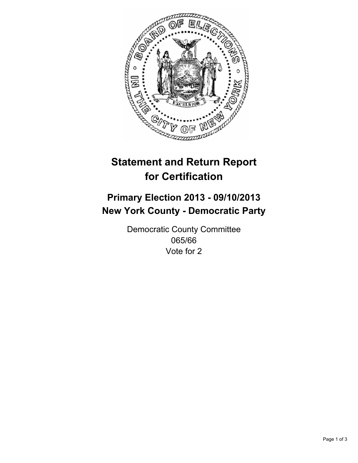

# **Statement and Return Report for Certification**

## **Primary Election 2013 - 09/10/2013 New York County - Democratic Party**

Democratic County Committee 065/66 Vote for 2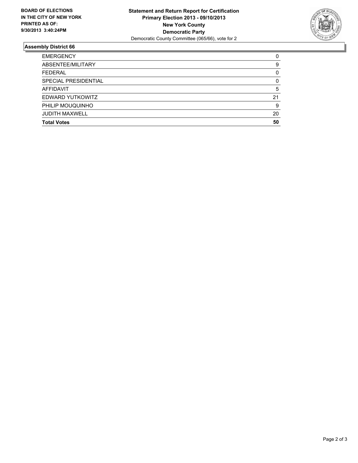

#### **Assembly District 66**

| <b>EMERGENCY</b>      | 0        |
|-----------------------|----------|
| ABSENTEE/MILITARY     | 9        |
| <b>FEDERAL</b>        | 0        |
| SPECIAL PRESIDENTIAL  | $\Omega$ |
| AFFIDAVIT             | 5        |
| EDWARD YUTKOWITZ      | 21       |
| PHILIP MOUQUINHO      | 9        |
| <b>JUDITH MAXWELL</b> | 20       |
| <b>Total Votes</b>    | 50       |